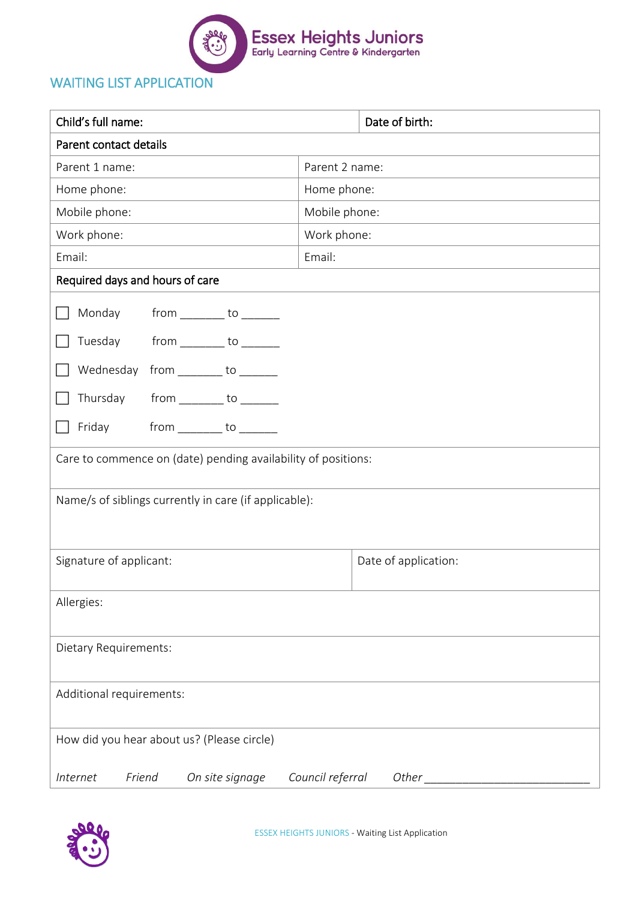

## WAITING LIST APPLICATION

| Child's full name:                                                                                                                                                                                                                                                         | Date of birth:            |
|----------------------------------------------------------------------------------------------------------------------------------------------------------------------------------------------------------------------------------------------------------------------------|---------------------------|
| Parent contact details                                                                                                                                                                                                                                                     |                           |
| Parent 1 name:                                                                                                                                                                                                                                                             | Parent 2 name:            |
| Home phone:                                                                                                                                                                                                                                                                | Home phone:               |
| Mobile phone:                                                                                                                                                                                                                                                              | Mobile phone:             |
| Work phone:                                                                                                                                                                                                                                                                | Work phone:               |
| Email:                                                                                                                                                                                                                                                                     | Email:                    |
| Required days and hours of care                                                                                                                                                                                                                                            |                           |
| Monday<br>$from \_\_\_to \_\_\_to\_\_$<br>from ________ to ______<br>Tuesday<br>Wednesday from _______ to _______<br>$from$ __________ to ________<br>Thursday<br>Friday<br>$from$ __________ to ________<br>Care to commence on (date) pending availability of positions: |                           |
| Name/s of siblings currently in care (if applicable):                                                                                                                                                                                                                      |                           |
| Signature of applicant:                                                                                                                                                                                                                                                    | Date of application:      |
| Allergies:                                                                                                                                                                                                                                                                 |                           |
| Dietary Requirements:                                                                                                                                                                                                                                                      |                           |
| Additional requirements:                                                                                                                                                                                                                                                   |                           |
| How did you hear about us? (Please circle)                                                                                                                                                                                                                                 |                           |
| On site signage<br>Internet<br>Friend                                                                                                                                                                                                                                      | Council referral<br>Other |